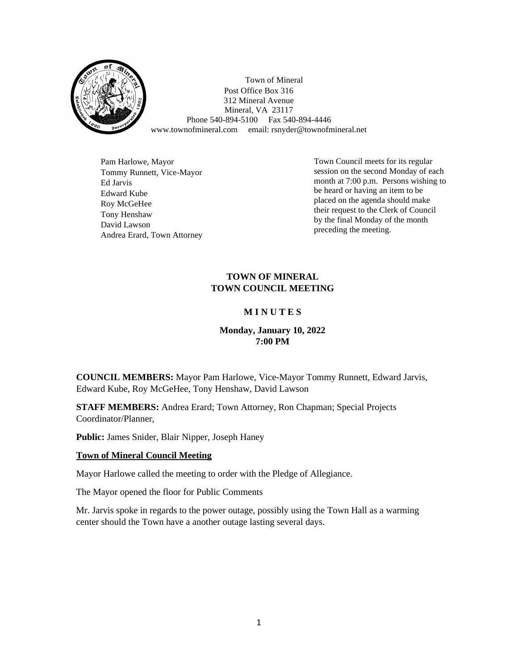

Town of Mineral Post Office Box 316 312 Mineral Avenue Mineral, VA 23117 Phone 540-894-5100 Fax 540-894-4446 www.townofmineral.com email: rsnyder@townofmineral.net

Pam Harlowe, Mayor Tommy Runnett, Vice-Mayor Ed Jarvis Edward Kube Roy McGeHee Tony Henshaw David Lawson Andrea Erard, Town Attorney

Town Council meets for its regular session on the second Monday of each month at 7:00 p.m. Persons wishing to be heard or having an item to be placed on the agenda should make their request to the Clerk of Council by the final Monday of the month preceding the meeting.

## **TOWN OF MINERAL TOWN COUNCIL MEETING**

# **M I N U T E S**

# **Monday, January 10, 2022 7:00 PM**

**COUNCIL MEMBERS:** Mayor Pam Harlowe, Vice-Mayor Tommy Runnett, Edward Jarvis, Edward Kube, Roy McGeHee, Tony Henshaw, David Lawson

**STAFF MEMBERS:** Andrea Erard; Town Attorney, Ron Chapman; Special Projects Coordinator/Planner,

**Public:** James Snider, Blair Nipper, Joseph Haney

### **Town of Mineral Council Meeting**

Mayor Harlowe called the meeting to order with the Pledge of Allegiance.

The Mayor opened the floor for Public Comments

Mr. Jarvis spoke in regards to the power outage, possibly using the Town Hall as a warming center should the Town have a another outage lasting several days.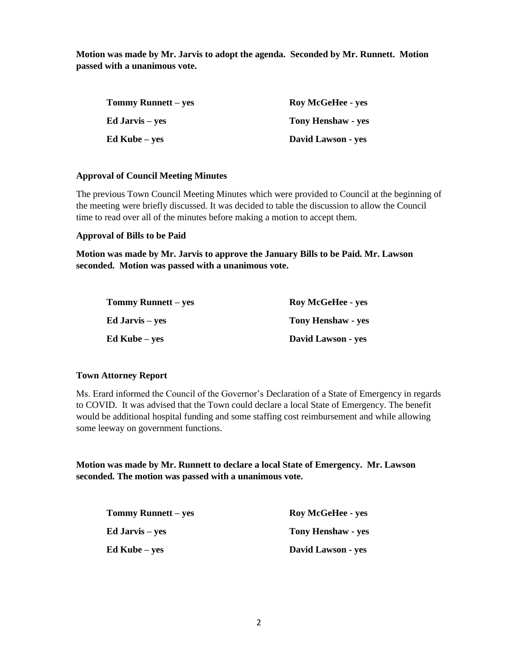**Motion was made by Mr. Jarvis to adopt the agenda. Seconded by Mr. Runnett. Motion passed with a unanimous vote.** 

| <b>Tommy Runnett</b> – yes | <b>Roy McGeHee - yes</b>  |
|----------------------------|---------------------------|
| Ed Jarvis – yes            | <b>Tony Henshaw - yes</b> |
| Ed Kube – yes              | David Lawson - yes        |

#### **Approval of Council Meeting Minutes**

The previous Town Council Meeting Minutes which were provided to Council at the beginning of the meeting were briefly discussed. It was decided to table the discussion to allow the Council time to read over all of the minutes before making a motion to accept them.

#### **Approval of Bills to be Paid**

**Motion was made by Mr. Jarvis to approve the January Bills to be Paid. Mr. Lawson seconded. Motion was passed with a unanimous vote.**

| <b>Tommy Runnett</b> – yes | <b>Roy McGeHee - yes</b>  |
|----------------------------|---------------------------|
| <b>Ed Jarvis</b> – yes     | <b>Tony Henshaw - yes</b> |
| <b>Ed Kube</b> – yes       | David Lawson - yes        |

### **Town Attorney Report**

Ms. Erard informed the Council of the Governor's Declaration of a State of Emergency in regards to COVID. It was advised that the Town could declare a local State of Emergency. The benefit would be additional hospital funding and some staffing cost reimbursement and while allowing some leeway on government functions.

**Motion was made by Mr. Runnett to declare a local State of Emergency. Mr. Lawson seconded. The motion was passed with a unanimous vote.** 

| <b>Tommy Runnett</b> – yes | <b>Roy McGeHee - yes</b>  |
|----------------------------|---------------------------|
| Ed Jarvis – yes            | <b>Tony Henshaw - yes</b> |
| <b>Ed Kube</b> – yes       | David Lawson - yes        |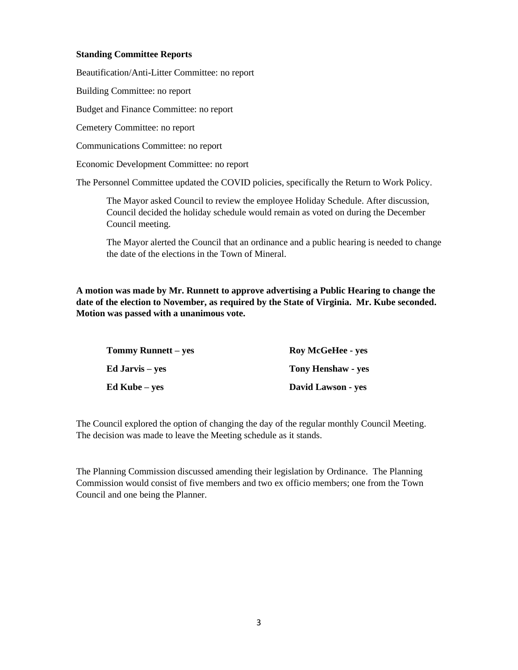#### **Standing Committee Reports**

Beautification/Anti-Litter Committee: no report

Building Committee: no report

Budget and Finance Committee: no report

Cemetery Committee: no report

Communications Committee: no report

Economic Development Committee: no report

The Personnel Committee updated the COVID policies, specifically the Return to Work Policy.

The Mayor asked Council to review the employee Holiday Schedule. After discussion, Council decided the holiday schedule would remain as voted on during the December Council meeting.

The Mayor alerted the Council that an ordinance and a public hearing is needed to change the date of the elections in the Town of Mineral.

**A motion was made by Mr. Runnett to approve advertising a Public Hearing to change the date of the election to November, as required by the State of Virginia. Mr. Kube seconded. Motion was passed with a unanimous vote.**

| <b>Tommy Runnett – yes</b> | <b>Roy McGeHee - yes</b>  |
|----------------------------|---------------------------|
| Ed Jarvis – yes            | <b>Tony Henshaw - yes</b> |
| Ed Kube – yes              | David Lawson - yes        |

The Council explored the option of changing the day of the regular monthly Council Meeting. The decision was made to leave the Meeting schedule as it stands.

The Planning Commission discussed amending their legislation by Ordinance. The Planning Commission would consist of five members and two ex officio members; one from the Town Council and one being the Planner.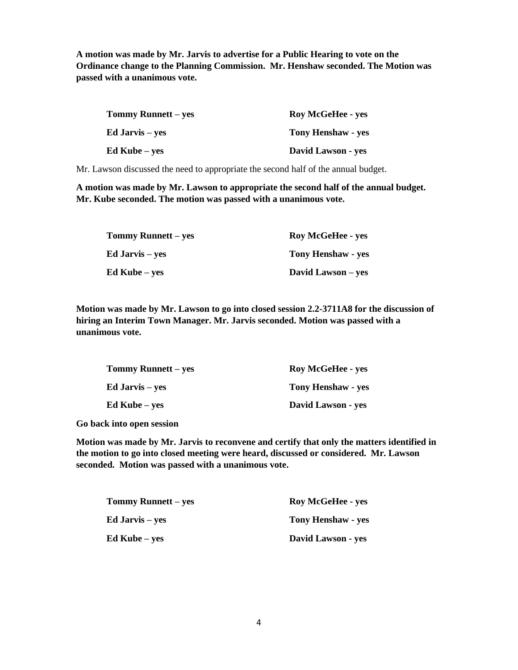**A motion was made by Mr. Jarvis to advertise for a Public Hearing to vote on the Ordinance change to the Planning Commission. Mr. Henshaw seconded. The Motion was passed with a unanimous vote.**

| <b>Tommy Runnett</b> – yes | <b>Roy McGeHee - yes</b>  |
|----------------------------|---------------------------|
| <b>Ed Jarvis</b> – yes     | <b>Tony Henshaw - yes</b> |
| Ed Kube – yes              | David Lawson - yes        |

Mr. Lawson discussed the need to appropriate the second half of the annual budget.

**A motion was made by Mr. Lawson to appropriate the second half of the annual budget. Mr. Kube seconded. The motion was passed with a unanimous vote.**

| <b>Tommy Runnett</b> – yes | <b>Roy McGeHee - yes</b>  |
|----------------------------|---------------------------|
| <b>Ed Jarvis</b> – yes     | <b>Tony Henshaw - yes</b> |
| <b>Ed Kube</b> – yes       | David Lawson – yes        |

**Motion was made by Mr. Lawson to go into closed session 2.2-3711A8 for the discussion of hiring an Interim Town Manager. Mr. Jarvis seconded. Motion was passed with a unanimous vote.**

| <b>Tommy Runnett</b> – yes | <b>Roy McGeHee - yes</b> |
|----------------------------|--------------------------|
| <b>Ed Jarvis</b> – yes     | Tony Henshaw - yes       |
| Ed Kube – yes              | David Lawson - yes       |

**Go back into open session**

**Motion was made by Mr. Jarvis to reconvene and certify that only the matters identified in the motion to go into closed meeting were heard, discussed or considered. Mr. Lawson seconded. Motion was passed with a unanimous vote.**

| <b>Tommy Runnett</b> – yes | <b>Roy McGeHee - yes</b>  |
|----------------------------|---------------------------|
| <b>Ed Jarvis</b> – yes     | <b>Tony Henshaw - yes</b> |
| <b>Ed Kube</b> – yes       | <b>David Lawson - yes</b> |